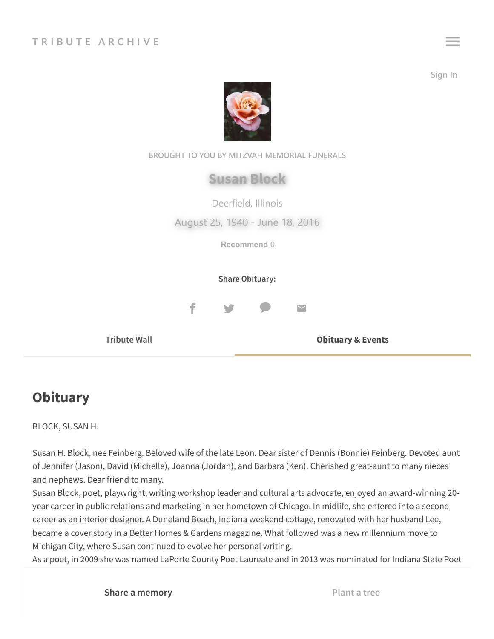**Sign In**





## **Obituary**

BLOCK, SUSAN H.

Susan H. Block, nee Feinberg. Beloved wife of the late Leon. Dear sister of Dennis (Bonnie) Feinberg. Devoted aunt of Jennifer (Jason), David (Michelle), Joanna (Jordan), and Barbara (Ken). Cherished great-aunt to many nieces and nephews. Dear friend to many.

Susan Block, poet, playwright, writing workshop leader and cultural arts advocate, enjoyed an award-winning 20 year career in public relations and marketing in her hometown of Chicago. In midlife, she entered into a second career as an interior designer. A Duneland Beach, Indiana weekend cottage, renovated with her husband Lee, became a cover story in a Better Homes & Gardens magazine. What followed was a new millennium move to Michigan City, where Susan continued to evolve her personal writing.

As a poet, in 2009 she was named LaPorte County Poet Laureate and in 2013 was nominated for Indiana State Poet